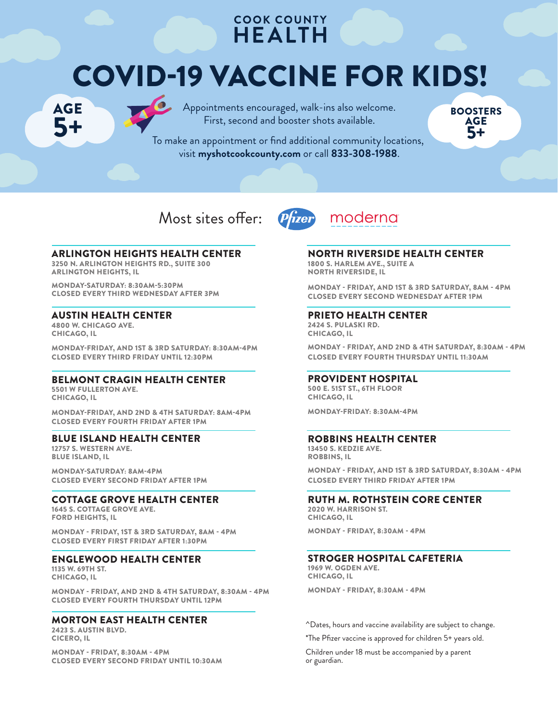# **COOK COUNTY HEALTH**

# COVID-19 VACCINE FOR KIDS! COVID-19 VACCINE FOR KIDS!

AGE ду<sub>с</sub><br>5+ AGE 5+

Appointments encouraged, walk-ins also welcome. To make a an approximation of find a second and booster shots available.



To make an appointment or find additional community locations, visit **myshotcookcounty.com** or call **833-308-1988**.

Most sites offer:





ARLINGTON HEIGHTS HEALTH CENTER

3250 N. ARLINGTON HEIGHTS RD., SUITE 300 ARLINGTON HEIGHTS, IL

MONDAY-SATURDAY: 8:30AM-5:30PM CLOSED EVERY THIRD WEDNESDAY AFTER 3PM

#### AUSTIN HEALTH CENTER

4800 W. CHICAGO AVE. CHICAGO, IL

MONDAY-FRIDAY, AND 1ST & 3RD SATURDAY: 8:30AM-4PM CLOSED EVERY THIRD FRIDAY UNTIL 12:30PM

#### BELMONT CRAGIN HEALTH CENTER

5501 W FULLERTON AVE. CHICAGO, IL

MONDAY-FRIDAY, AND 2ND & 4TH SATURDAY: 8AM-4PM CLOSED EVERY FOURTH FRIDAY AFTER 1PM

#### BLUE ISLAND HEALTH CENTER

12757 S. WESTERN AVE. BLUE ISLAND, IL

MONDAY-SATURDAY: 8AM-4PM CLOSED EVERY SECOND FRIDAY AFTER 1PM

#### COTTAGE GROVE HEALTH CENTER

1645 S. COTTAGE GROVE AVE. FORD HEIGHTS, IL

MONDAY - FRIDAY, 1ST & 3RD SATURDAY, 8AM - 4PM CLOSED EVERY FIRST FRIDAY AFTER 1:30PM

### ENGLEWOOD HEALTH CENTER

1135 W. 69TH ST. CHICAGO, IL

MONDAY - FRIDAY, AND 2ND & 4TH SATURDAY, 8:30AM - 4PM CLOSED EVERY FOURTH THURSDAY UNTIL 12PM

# MORTON EAST HEALTH CENTER

2423 S. AUSTIN BLVD. CICERO, IL

MONDAY - FRIDAY, 8:30AM - 4PM CLOSED EVERY SECOND FRIDAY UNTIL 10:30AM

NORTH RIVERSIDE HEALTH CENTER 1800 S. HARLEM AVE., SUITE A NORTH RIVERSIDE, IL

MONDAY - FRIDAY, AND 1ST & 3RD SATURDAY, 8AM - 4PM CLOSED EVERY SECOND WEDNESDAY AFTER 1PM

# PRIETO HEALTH CENTER

2424 S. PULASKI RD. CHICAGO, IL

MONDAY - FRIDAY, AND 2ND & 4TH SATURDAY, 8:30AM - 4PM CLOSED EVERY FOURTH THURSDAY UNTIL 11:30AM

#### PROVIDENT HOSPITAL

500 E. 51ST ST., 6TH FLOOR CHICAGO, IL

MONDAY-FRIDAY: 8:30AM-4PM

#### ROBBINS HEALTH CENTER

13450 S. KEDZIE AVE. ROBBINS, IL

MONDAY - FRIDAY, AND 1ST & 3RD SATURDAY, 8:30AM - 4PM CLOSED EVERY THIRD FRIDAY AFTER 1PM

### RUTH M. ROTHSTEIN CORE CENTER

2020 W. HARRISON ST. CHICAGO, IL

MONDAY - FRIDAY, 8:30AM - 4PM

#### STROGER HOSPITAL CAFETERIA

1969 W. OGDEN AVE. CHICAGO, IL

MONDAY - FRIDAY, 8:30AM - 4PM

^Dates, hours and vaccine availability are subject to change.

\*The Pfizer vaccine is approved for children 5+ years old.

Children under 18 must be accompanied by a parent or guardian.